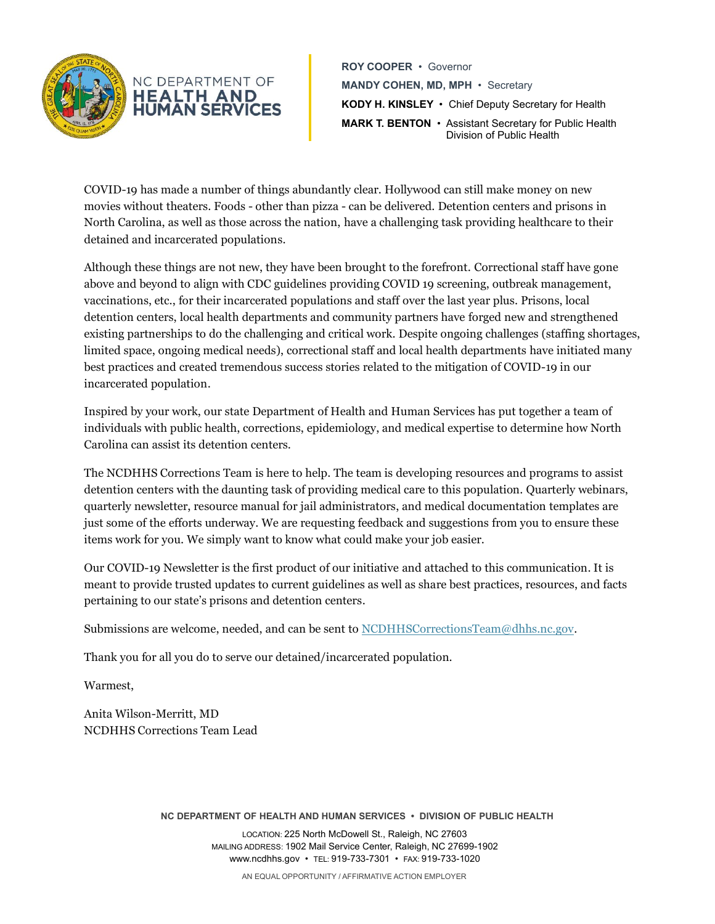

**HEALTH AND HUMAN SERVI** 

**ROY COOPER** • Governor **MANDY COHEN, MD, MPH** • Secretary **KODY H. KINSLEY** • Chief Deputy Secretary for Health **MARK T. BENTON** • Assistant Secretary for Public Health Division of Public Health

COVID-19 has made a number of things abundantly clear. Hollywood can still make money on new movies without theaters. Foods - other than pizza - can be delivered. Detention centers and prisons in North Carolina, as well as those across the nation, have a challenging task providing healthcare to their detained and incarcerated populations.

Although these things are not new, they have been brought to the forefront. Correctional staff have gone above and beyond to align with CDC guidelines providing COVID 19 screening, outbreak management, vaccinations, etc., for their incarcerated populations and staff over the last year plus. Prisons, local detention centers, local health departments and community partners have forged new and strengthened existing partnerships to do the challenging and critical work. Despite ongoing challenges (staffing shortages, limited space, ongoing medical needs), correctional staff and local health departments have initiated many best practices and created tremendous success stories related to the mitigation of COVID-19 in our incarcerated population.

Inspired by your work, our state Department of Health and Human Services has put together a team of individuals with public health, corrections, epidemiology, and medical expertise to determine how North Carolina can assist its detention centers.

The NCDHHS Corrections Team is here to help. The team is developing resources and programs to assist detention centers with the daunting task of providing medical care to this population. Quarterly webinars, quarterly newsletter, resource manual for jail administrators, and medical documentation templates are just some of the efforts underway. We are requesting feedback and suggestions from you to ensure these items work for you. We simply want to know what could make your job easier.

Our COVID-19 Newsletter is the first product of our initiative and attached to this communication. It is meant to provide trusted updates to current guidelines as well as share best practices, resources, and facts pertaining to our state's prisons and detention centers.

Submissions are welcome, needed, and can be sent t[o NCDHHSCorrectionsTeam@dhhs.nc.gov.](mailto:NCDHHSCorrectionsTeam@dhhs.nc.gov)

Thank you for all you do to serve our detained/incarcerated population.

Warmest,

Anita Wilson-Merritt, MD NCDHHS Corrections Team Lead

**NC DEPARTMENT OF HEALTH AND HUMAN SERVICES • DIVISION OF PUBLIC HEALTH**

LOCATION: 225 North McDowell St., Raleigh, NC 27603 MAILING ADDRESS: 1902 Mail Service Center, Raleigh, NC 27699-1902 www.ncdhhs.gov • TEL: 919-733-7301 • FAX: 919-733-1020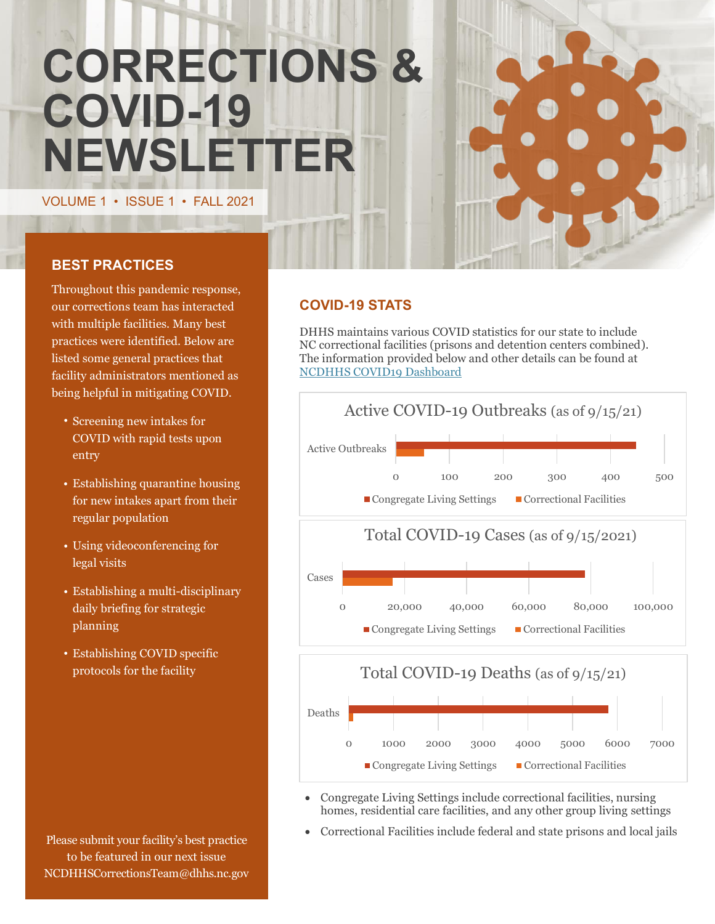# **CORRECTIONS & COVID-19 NEWSLETTER**

VOLUME 1 • ISSUE 1 • FALL 2021

# **BEST PRACTICES**

Throughout this pandemic response, our corrections team has interacted with multiple facilities. Many best practices were identified. Below are listed some general practices that facility administrators mentioned as being helpful in mitigating COVID.

- Screening new intakes for COVID with rapid tests upon entry
- Establishing quarantine housing for new intakes apart from their regular population
- Using videoconferencing for legal visits
- Establishing a multi-disciplinary daily briefing for strategic planning
- Establishing COVID specific protocols for the facility

Please submit your facility's best practice to be featured in our next issue NCDHHSCorrectionsTeam@dhhs.nc.gov

# **COVID-19 STATS**

DHHS maintains various COVID statistics for our state to include NC correctional facilities (prisons and detention centers combined). The information provided below and other details can be found at [NCDHHS COVID19 Dashboard](https://covid19.ncdhhs.gov/dashboard)



- Congregate Living Settings include correctional facilities, nursing homes, residential care facilities, and any other group living settings
- Correctional Facilities include federal and state prisons and local jails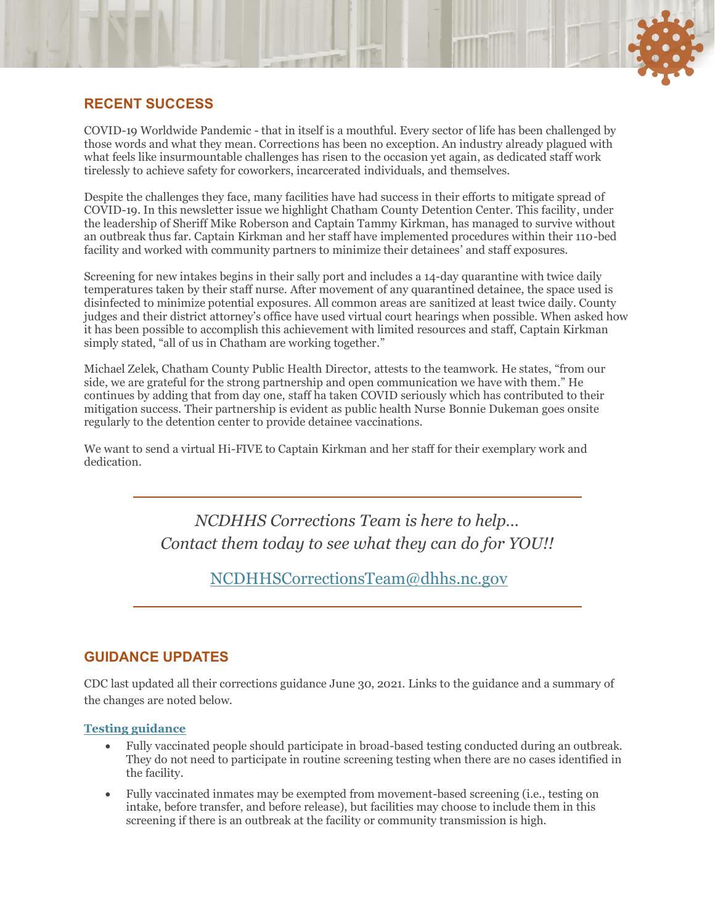# **RECENT SUCCESS**

COVID-19 Worldwide Pandemic - that in itself is a mouthful. Every sector of life has been challenged by those words and what they mean. Corrections has been no exception. An industry already plagued with what feels like insurmountable challenges has risen to the occasion yet again, as dedicated staff work tirelessly to achieve safety for coworkers, incarcerated individuals, and themselves.

Despite the challenges they face, many facilities have had success in their efforts to mitigate spread of COVID-19. In this newsletter issue we highlight Chatham County Detention Center. This facility, under the leadership of Sheriff Mike Roberson and Captain Tammy Kirkman, has managed to survive without an outbreak thus far. Captain Kirkman and her staff have implemented procedures within their 110-bed facility and worked with community partners to minimize their detainees' and staff exposures.

Screening for new intakes begins in their sally port and includes a 14-day quarantine with twice daily temperatures taken by their staff nurse. After movement of any quarantined detainee, the space used is disinfected to minimize potential exposures. All common areas are sanitized at least twice daily. County judges and their district attorney's office have used virtual court hearings when possible. When asked how it has been possible to accomplish this achievement with limited resources and staff, Captain Kirkman simply stated, "all of us in Chatham are working together."

Michael Zelek, Chatham County Public Health Director, attests to the teamwork. He states, "from our side, we are grateful for the strong partnership and open communication we have with them." He continues by adding that from day one, staff ha taken COVID seriously which has contributed to their mitigation success. Their partnership is evident as public health Nurse Bonnie Dukeman goes onsite regularly to the detention center to provide detainee vaccinations.

We want to send a virtual Hi-FIVE to Captain Kirkman and her staff for their exemplary work and dedication.

> *NCDHHS Corrections Team is here to help… Contact them today to see what they can do for YOU!!*

> > [NCDHHSCorrectionsTeam@dhhs.nc.gov](mailto:NCDHHSCorrectionsTeam@dhhs.nc.gov)

### **GUIDANCE UPDATES**

CDC last updated all their corrections guidance June 30, 2021. Links to the guidance and a summary of the changes are noted below.

#### **[Testing guidance](https://www.cdc.gov/coronavirus/2019-ncov/community/correction-detention/testing.html)**

- Fully vaccinated people should participate in broad-based testing conducted during an outbreak. They do not need to participate in routine screening testing when there are no cases identified in the facility.
- Fully vaccinated inmates may be exempted from movement-based screening (i.e., testing on intake, before transfer, and before release), but facilities may choose to include them in this screening if there is an outbreak at the facility or community transmission is high.